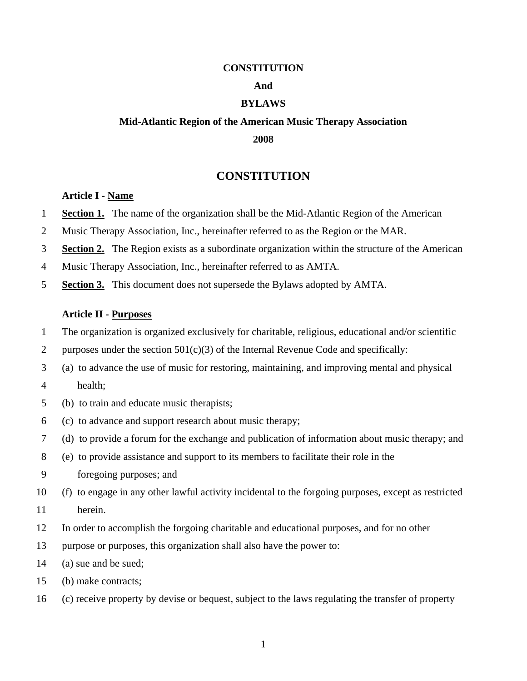#### **CONSTITUTION**

### **And**

## **BYLAWS**

# **Mid-Atlantic Region of the American Music Therapy Association 2008**

# **CONSTITUTION**

## **Article I - Name**

- 1 **Section 1.** The name of the organization shall be the Mid-Atlantic Region of the American
- 2 Music Therapy Association, Inc., hereinafter referred to as the Region or the MAR.
- 3 **Section 2.** The Region exists as a subordinate organization within the structure of the American
- 4 Music Therapy Association, Inc., hereinafter referred to as AMTA.
- 5 **Section 3.** This document does not supersede the Bylaws adopted by AMTA.

## **Article II - Purposes**

- 1 The organization is organized exclusively for charitable, religious, educational and/or scientific
- 2 purposes under the section  $501(c)(3)$  of the Internal Revenue Code and specifically:
- 3 (a) to advance the use of music for restoring, maintaining, and improving mental and physical
- 4 health;
- 5 (b) to train and educate music therapists;
- 6 (c) to advance and support research about music therapy;
- 7 (d) to provide a forum for the exchange and publication of information about music therapy; and
- 8 (e) to provide assistance and support to its members to facilitate their role in the
- 9 foregoing purposes; and
- 10 (f) to engage in any other lawful activity incidental to the forgoing purposes, except as restricted
- 11 herein.
- 12 In order to accomplish the forgoing charitable and educational purposes, and for no other
- 13 purpose or purposes, this organization shall also have the power to:
- 14 (a) sue and be sued;
- 15 (b) make contracts;
- 16 (c) receive property by devise or bequest, subject to the laws regulating the transfer of property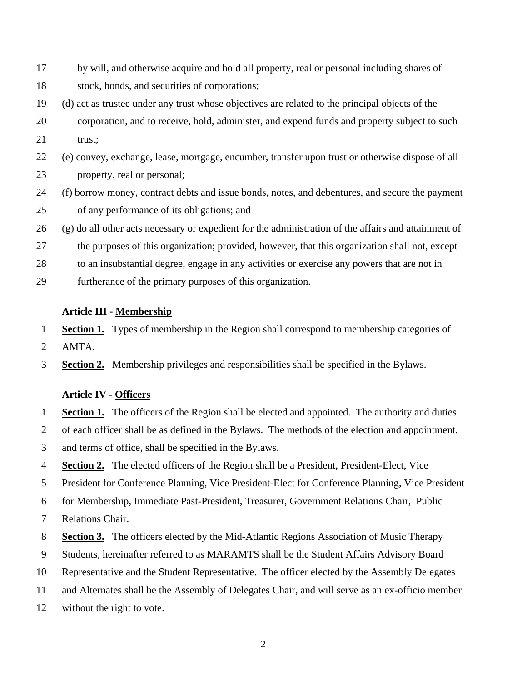- 17 by will, and otherwise acquire and hold all property, real or personal including shares of 18 stock, bonds, and securities of corporations;
- 19 (d) act as trustee under any trust whose objectives are related to the principal objects of the
- 20 corporation, and to receive, hold, administer, and expend funds and property subject to such 21 trust:
- 22 (e) convey, exchange, lease, mortgage, encumber, transfer upon trust or otherwise dispose of all 23 property, real or personal;
- 24 (f) borrow money, contract debts and issue bonds, notes, and debentures, and secure the payment 25 of any performance of its obligations; and
- 26 (g) do all other acts necessary or expedient for the administration of the affairs and attainment of
- 27 the purposes of this organization; provided, however, that this organization shall not, except
- 28 to an insubstantial degree, engage in any activities or exercise any powers that are not in
- 29 furtherance of the primary purposes of this organization.

## **Article III - Membership**

- 1 **Section 1.** Types of membership in the Region shall correspond to membership categories of
- 2 AMTA.
- 3 **Section 2.** Membership privileges and responsibilities shall be specified in the Bylaws.

## **Article IV - Officers**

- 1 **Section 1.** The officers of the Region shall be elected and appointed. The authority and duties
- 2 of each officer shall be as defined in the Bylaws. The methods of the election and appointment,
- 3 and terms of office, shall be specified in the Bylaws.
- 4 **Section 2.** The elected officers of the Region shall be a President, President-Elect, Vice
- 5 President for Conference Planning, Vice President-Elect for Conference Planning, Vice President
- 6 for Membership, Immediate Past-President, Treasurer, Government Relations Chair, Public
- 7 Relations Chair.
- 8 **Section 3.** The officers elected by the Mid-Atlantic Regions Association of Music Therapy
- 9 Students, hereinafter referred to as MARAMTS shall be the Student Affairs Advisory Board
- 10 Representative and the Student Representative. The officer elected by the Assembly Delegates
- 11 and Alternates shall be the Assembly of Delegates Chair, and will serve as an ex-officio member
- 12 without the right to vote.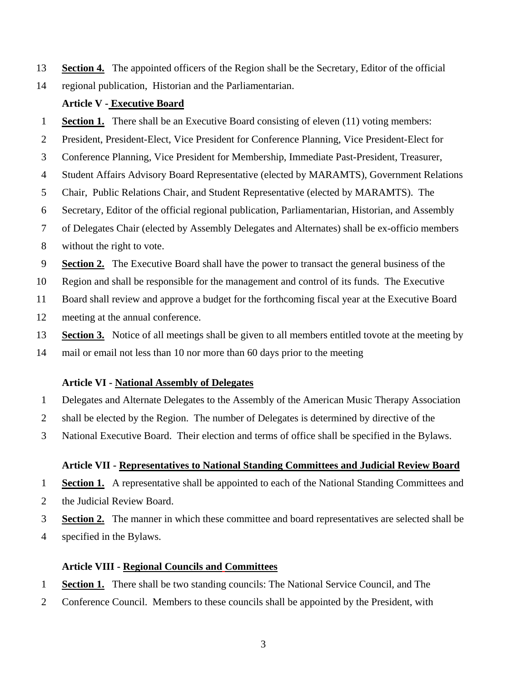- 13 **Section 4.** The appointed officers of the Region shall be the Secretary, Editor of the official
- 14 regional publication, Historian and the Parliamentarian.

# **Article V - Executive Board**

- 1 **Section 1.** There shall be an Executive Board consisting of eleven (11) voting members:
- 2 President, President-Elect, Vice President for Conference Planning, Vice President-Elect for
- 3 Conference Planning, Vice President for Membership, Immediate Past-President, Treasurer,
- 4 Student Affairs Advisory Board Representative (elected by MARAMTS), Government Relations
- 5 Chair, Public Relations Chair, and Student Representative (elected by MARAMTS). The
- 6 Secretary, Editor of the official regional publication, Parliamentarian, Historian, and Assembly
- 7 of Delegates Chair (elected by Assembly Delegates and Alternates) shall be ex-officio members
- 8 without the right to vote.
- 9 **Section 2.** The Executive Board shall have the power to transact the general business of the
- 10 Region and shall be responsible for the management and control of its funds. The Executive
- 11 Board shall review and approve a budget for the forthcoming fiscal year at the Executive Board
- 12 meeting at the annual conference.
- 13 **Section 3.** Notice of all meetings shall be given to all members entitled tovote at the meeting by
- 14 mail or email not less than 10 nor more than 60 days prior to the meeting

# **Article VI - National Assembly of Delegates**

- 1 Delegates and Alternate Delegates to the Assembly of the American Music Therapy Association
- 2 shall be elected by the Region. The number of Delegates is determined by directive of the
- 3 National Executive Board. Their election and terms of office shall be specified in the Bylaws.

# **Article VII - Representatives to National Standing Committees and Judicial Review Board**

- 1 **Section 1.** A representative shall be appointed to each of the National Standing Committees and
- 2 the Judicial Review Board.
- 3 **Section 2.** The manner in which these committee and board representatives are selected shall be
- 4 specified in the Bylaws.

# **Article VIII - Regional Councils and Committees**

- 1 **Section 1.** There shall be two standing councils: The National Service Council, and The
- 2 Conference Council. Members to these councils shall be appointed by the President, with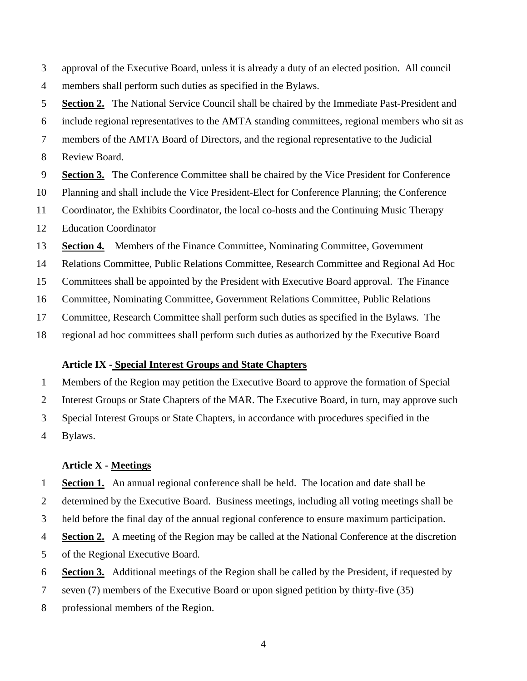3 approval of the Executive Board, unless it is already a duty of an elected position. All council 4 members shall perform such duties as specified in the Bylaws.

5 **Section 2.** The National Service Council shall be chaired by the Immediate Past-President and 6 include regional representatives to the AMTA standing committees, regional members who sit as 7 members of the AMTA Board of Directors, and the regional representative to the Judicial 8 Review Board. 9 **Section 3.** The Conference Committee shall be chaired by the Vice President for Conference 10 Planning and shall include the Vice President-Elect for Conference Planning; the Conference 11 Coordinator, the Exhibits Coordinator, the local co-hosts and the Continuing Music Therapy 12 Education Coordinator

13 **Section 4.** Members of the Finance Committee, Nominating Committee, Government

14 Relations Committee, Public Relations Committee, Research Committee and Regional Ad Hoc

15 Committees shall be appointed by the President with Executive Board approval. The Finance

16 Committee, Nominating Committee, Government Relations Committee, Public Relations

17 Committee, Research Committee shall perform such duties as specified in the Bylaws. The

18 regional ad hoc committees shall perform such duties as authorized by the Executive Board

#### **Article IX - Special Interest Groups and State Chapters**

1 Members of the Region may petition the Executive Board to approve the formation of Special 2 Interest Groups or State Chapters of the MAR. The Executive Board, in turn, may approve such 3 Special Interest Groups or State Chapters, in accordance with procedures specified in the 4 Bylaws.

### **Article X - Meetings**

1 **Section 1.** An annual regional conference shall be held. The location and date shall be

2 determined by the Executive Board. Business meetings, including all voting meetings shall be

3 held before the final day of the annual regional conference to ensure maximum participation.

4 **Section 2.** A meeting of the Region may be called at the National Conference at the discretion

5 of the Regional Executive Board.

6 **Section 3.** Additional meetings of the Region shall be called by the President, if requested by

7 seven (7) members of the Executive Board or upon signed petition by thirty-five (35)

8 professional members of the Region.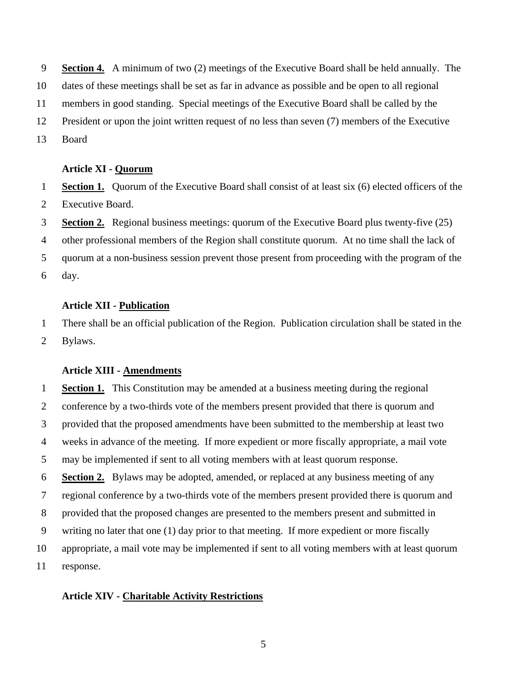9 **Section 4.** A minimum of two (2) meetings of the Executive Board shall be held annually. The 10 dates of these meetings shall be set as far in advance as possible and be open to all regional 11 members in good standing. Special meetings of the Executive Board shall be called by the 12 President or upon the joint written request of no less than seven (7) members of the Executive 13 Board

## **Article XI - Quorum**

1 **Section 1.** Quorum of the Executive Board shall consist of at least six (6) elected officers of the 2 Executive Board.

3 **Section 2.** Regional business meetings: quorum of the Executive Board plus twenty-five (25)

4 other professional members of the Region shall constitute quorum. At no time shall the lack of

5 quorum at a non-business session prevent those present from proceeding with the program of the 6 day.

## **Article XII - Publication**

1 There shall be an official publication of the Region. Publication circulation shall be stated in the 2 Bylaws.

## **Article XIII - Amendments**

1 **Section 1.** This Constitution may be amended at a business meeting during the regional 2 conference by a two-thirds vote of the members present provided that there is quorum and 3 provided that the proposed amendments have been submitted to the membership at least two 4 weeks in advance of the meeting. If more expedient or more fiscally appropriate, a mail vote 5 may be implemented if sent to all voting members with at least quorum response. 6 **Section 2.** Bylaws may be adopted, amended, or replaced at any business meeting of any 7 regional conference by a two-thirds vote of the members present provided there is quorum and 8 provided that the proposed changes are presented to the members present and submitted in 9 writing no later that one (1) day prior to that meeting. If more expedient or more fiscally 10 appropriate, a mail vote may be implemented if sent to all voting members with at least quorum 11 response.

## **Article XIV - Charitable Activity Restrictions**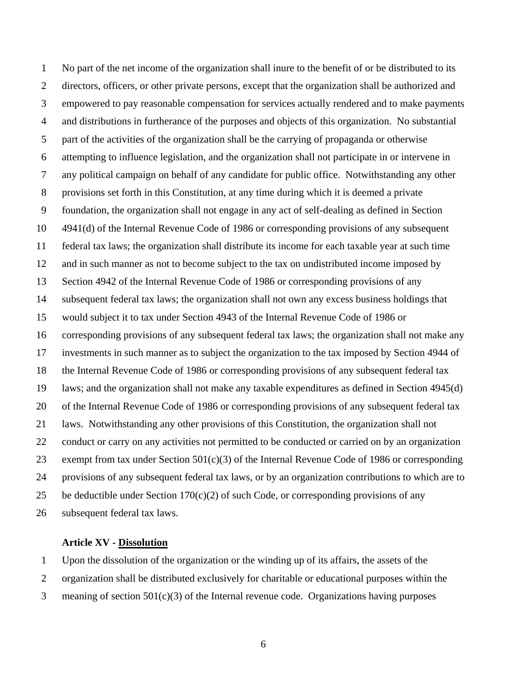1 No part of the net income of the organization shall inure to the benefit of or be distributed to its 2 directors, officers, or other private persons, except that the organization shall be authorized and 3 empowered to pay reasonable compensation for services actually rendered and to make payments 4 and distributions in furtherance of the purposes and objects of this organization. No substantial 5 part of the activities of the organization shall be the carrying of propaganda or otherwise 6 attempting to influence legislation, and the organization shall not participate in or intervene in 7 any political campaign on behalf of any candidate for public office. Notwithstanding any other 8 provisions set forth in this Constitution, at any time during which it is deemed a private 9 foundation, the organization shall not engage in any act of self-dealing as defined in Section 10 4941(d) of the Internal Revenue Code of 1986 or corresponding provisions of any subsequent 11 federal tax laws; the organization shall distribute its income for each taxable year at such time 12 and in such manner as not to become subject to the tax on undistributed income imposed by 13 Section 4942 of the Internal Revenue Code of 1986 or corresponding provisions of any 14 subsequent federal tax laws; the organization shall not own any excess business holdings that 15 would subject it to tax under Section 4943 of the Internal Revenue Code of 1986 or 16 corresponding provisions of any subsequent federal tax laws; the organization shall not make any 17 investments in such manner as to subject the organization to the tax imposed by Section 4944 of 18 the Internal Revenue Code of 1986 or corresponding provisions of any subsequent federal tax 19 laws; and the organization shall not make any taxable expenditures as defined in Section 4945(d) 20 of the Internal Revenue Code of 1986 or corresponding provisions of any subsequent federal tax 21 laws. Notwithstanding any other provisions of this Constitution, the organization shall not 22 conduct or carry on any activities not permitted to be conducted or carried on by an organization 23 exempt from tax under Section 501(c)(3) of the Internal Revenue Code of 1986 or corresponding 24 provisions of any subsequent federal tax laws, or by an organization contributions to which are to 25 be deductible under Section  $170(c)(2)$  of such Code, or corresponding provisions of any 26 subsequent federal tax laws.

#### **Article XV - Dissolution**

1 Upon the dissolution of the organization or the winding up of its affairs, the assets of the

2 organization shall be distributed exclusively for charitable or educational purposes within the

3 meaning of section 501(c)(3) of the Internal revenue code. Organizations having purposes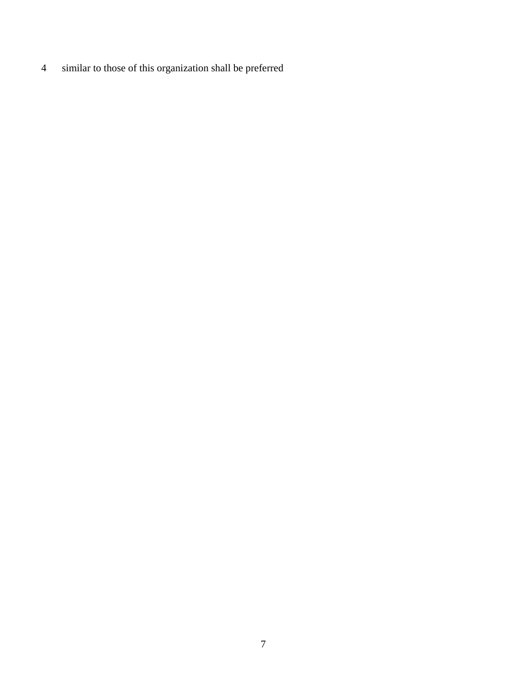4 similar to those of this organization shall be preferred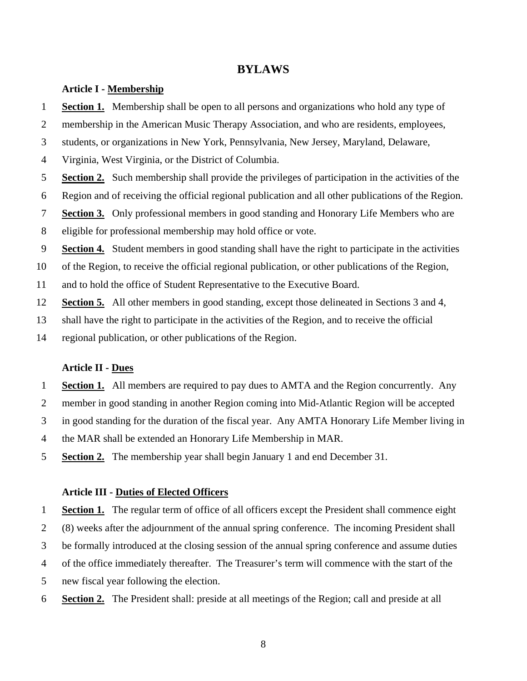# **BYLAWS**

### **Article I - Membership**

- 1 **Section 1.** Membership shall be open to all persons and organizations who hold any type of
- 2 membership in the American Music Therapy Association, and who are residents, employees,
- 3 students, or organizations in New York, Pennsylvania, New Jersey, Maryland, Delaware,
- 4 Virginia, West Virginia, or the District of Columbia.
- 5 **Section 2.** Such membership shall provide the privileges of participation in the activities of the
- 6 Region and of receiving the official regional publication and all other publications of the Region.
- 7 **Section 3.** Only professional members in good standing and Honorary Life Members who are
- 8 eligible for professional membership may hold office or vote.
- 9 **Section 4.** Student members in good standing shall have the right to participate in the activities
- 10 of the Region, to receive the official regional publication, or other publications of the Region,
- 11 and to hold the office of Student Representative to the Executive Board.
- 12 **Section 5.** All other members in good standing, except those delineated in Sections 3 and 4,
- 13 shall have the right to participate in the activities of the Region, and to receive the official
- 14 regional publication, or other publications of the Region.

#### **Article II - Dues**

- 1 **Section 1.** All members are required to pay dues to AMTA and the Region concurrently. Any
- 2 member in good standing in another Region coming into Mid-Atlantic Region will be accepted
- 3 in good standing for the duration of the fiscal year. Any AMTA Honorary Life Member living in
- 4 the MAR shall be extended an Honorary Life Membership in MAR.
- 5 **Section 2.** The membership year shall begin January 1 and end December 31.

### **Article III - Duties of Elected Officers**

1 **Section 1.** The regular term of office of all officers except the President shall commence eight 2 (8) weeks after the adjournment of the annual spring conference. The incoming President shall 3 be formally introduced at the closing session of the annual spring conference and assume duties

- 4 of the office immediately thereafter. The Treasurer's term will commence with the start of the
- 5 new fiscal year following the election.
- 6 **Section 2.** The President shall: preside at all meetings of the Region; call and preside at all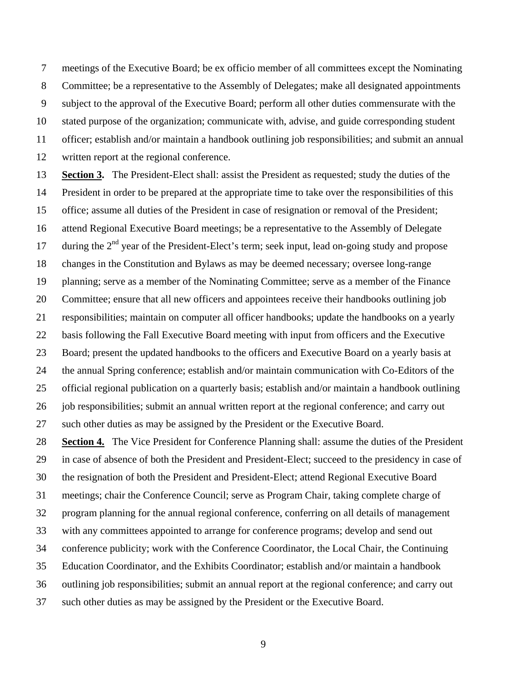7 meetings of the Executive Board; be ex officio member of all committees except the Nominating 8 Committee; be a representative to the Assembly of Delegates; make all designated appointments 9 subject to the approval of the Executive Board; perform all other duties commensurate with the 10 stated purpose of the organization; communicate with, advise, and guide corresponding student 11 officer; establish and/or maintain a handbook outlining job responsibilities; and submit an annual 12 written report at the regional conference.

13 **Section 3.** The President-Elect shall: assist the President as requested; study the duties of the 14 President in order to be prepared at the appropriate time to take over the responsibilities of this 15 office; assume all duties of the President in case of resignation or removal of the President; 16 attend Regional Executive Board meetings; be a representative to the Assembly of Delegate 17 during the  $2<sup>nd</sup>$  year of the President-Elect's term; seek input, lead on-going study and propose 18 changes in the Constitution and Bylaws as may be deemed necessary; oversee long-range 19 planning; serve as a member of the Nominating Committee; serve as a member of the Finance 20 Committee; ensure that all new officers and appointees receive their handbooks outlining job 21 responsibilities; maintain on computer all officer handbooks; update the handbooks on a yearly 22 basis following the Fall Executive Board meeting with input from officers and the Executive 23 Board; present the updated handbooks to the officers and Executive Board on a yearly basis at 24 the annual Spring conference; establish and/or maintain communication with Co-Editors of the 25 official regional publication on a quarterly basis; establish and/or maintain a handbook outlining 26 job responsibilities; submit an annual written report at the regional conference; and carry out 27 such other duties as may be assigned by the President or the Executive Board. 28 **Section 4.** The Vice President for Conference Planning shall: assume the duties of the President

29 in case of absence of both the President and President-Elect; succeed to the presidency in case of 30 the resignation of both the President and President-Elect; attend Regional Executive Board 31 meetings; chair the Conference Council; serve as Program Chair, taking complete charge of 32 program planning for the annual regional conference, conferring on all details of management 33 with any committees appointed to arrange for conference programs; develop and send out 34 conference publicity; work with the Conference Coordinator, the Local Chair, the Continuing 35 Education Coordinator, and the Exhibits Coordinator; establish and/or maintain a handbook 36 outlining job responsibilities; submit an annual report at the regional conference; and carry out 37 such other duties as may be assigned by the President or the Executive Board.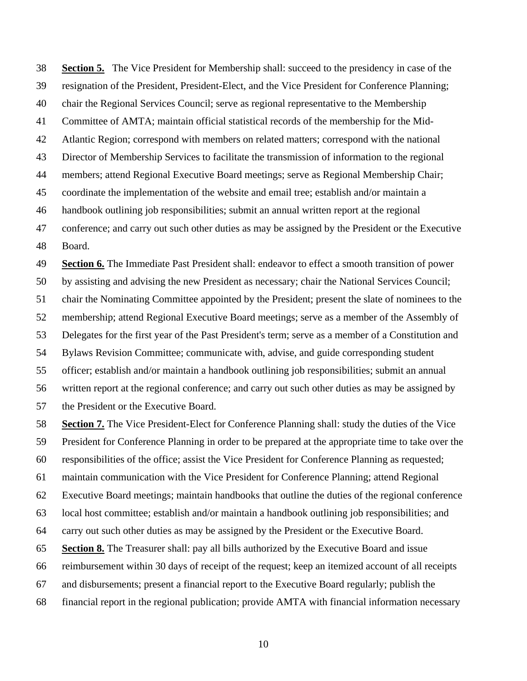38 **Section 5.** The Vice President for Membership shall: succeed to the presidency in case of the 39 resignation of the President, President-Elect, and the Vice President for Conference Planning; 40 chair the Regional Services Council; serve as regional representative to the Membership 41 Committee of AMTA; maintain official statistical records of the membership for the Mid-42 Atlantic Region; correspond with members on related matters; correspond with the national 43 Director of Membership Services to facilitate the transmission of information to the regional 44 members; attend Regional Executive Board meetings; serve as Regional Membership Chair; 45 coordinate the implementation of the website and email tree; establish and/or maintain a 46 handbook outlining job responsibilities; submit an annual written report at the regional 47 conference; and carry out such other duties as may be assigned by the President or the Executive 48 Board.

49 **Section 6.** The Immediate Past President shall: endeavor to effect a smooth transition of power 50 by assisting and advising the new President as necessary; chair the National Services Council; 51 chair the Nominating Committee appointed by the President; present the slate of nominees to the 52 membership; attend Regional Executive Board meetings; serve as a member of the Assembly of 53 Delegates for the first year of the Past President's term; serve as a member of a Constitution and 54 Bylaws Revision Committee; communicate with, advise, and guide corresponding student 55 officer; establish and/or maintain a handbook outlining job responsibilities; submit an annual 56 written report at the regional conference; and carry out such other duties as may be assigned by 57 the President or the Executive Board.

58 **Section 7.** The Vice President-Elect for Conference Planning shall: study the duties of the Vice 59 President for Conference Planning in order to be prepared at the appropriate time to take over the 60 responsibilities of the office; assist the Vice President for Conference Planning as requested; 61 maintain communication with the Vice President for Conference Planning; attend Regional 62 Executive Board meetings; maintain handbooks that outline the duties of the regional conference 63 local host committee; establish and/or maintain a handbook outlining job responsibilities; and 64 carry out such other duties as may be assigned by the President or the Executive Board. 65 **Section 8.** The Treasurer shall: pay all bills authorized by the Executive Board and issue 66 reimbursement within 30 days of receipt of the request; keep an itemized account of all receipts 67 and disbursements; present a financial report to the Executive Board regularly; publish the 68 financial report in the regional publication; provide AMTA with financial information necessary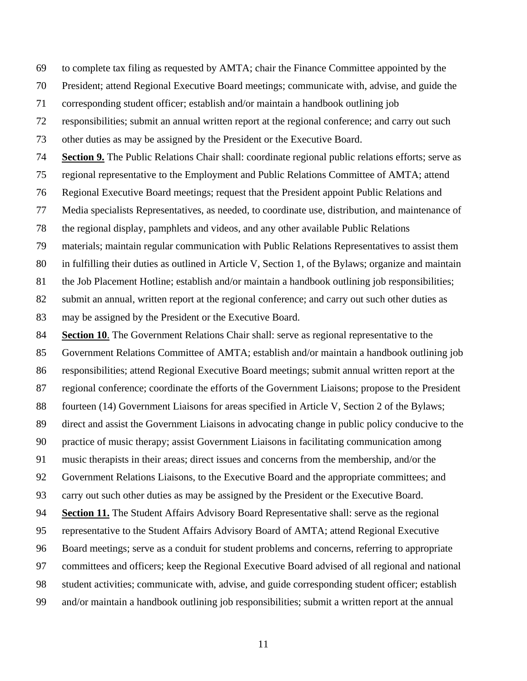69 to complete tax filing as requested by AMTA; chair the Finance Committee appointed by the

70 President; attend Regional Executive Board meetings; communicate with, advise, and guide the

71 corresponding student officer; establish and/or maintain a handbook outlining job

72 responsibilities; submit an annual written report at the regional conference; and carry out such

73 other duties as may be assigned by the President or the Executive Board.

74 **Section 9.** The Public Relations Chair shall: coordinate regional public relations efforts; serve as

75 regional representative to the Employment and Public Relations Committee of AMTA; attend

76 Regional Executive Board meetings; request that the President appoint Public Relations and

77 Media specialists Representatives, as needed, to coordinate use, distribution, and maintenance of

78 the regional display, pamphlets and videos, and any other available Public Relations

79 materials; maintain regular communication with Public Relations Representatives to assist them

80 in fulfilling their duties as outlined in Article V, Section 1, of the Bylaws; organize and maintain

81 the Job Placement Hotline; establish and/or maintain a handbook outlining job responsibilities;

82 submit an annual, written report at the regional conference; and carry out such other duties as

83 may be assigned by the President or the Executive Board.

84 **Section 10.** The Government Relations Chair shall: serve as regional representative to the 85 Government Relations Committee of AMTA; establish and/or maintain a handbook outlining job 86 responsibilities; attend Regional Executive Board meetings; submit annual written report at the 87 regional conference; coordinate the efforts of the Government Liaisons; propose to the President 88 fourteen (14) Government Liaisons for areas specified in Article V, Section 2 of the Bylaws; 89 direct and assist the Government Liaisons in advocating change in public policy conducive to the 90 practice of music therapy; assist Government Liaisons in facilitating communication among 91 music therapists in their areas; direct issues and concerns from the membership, and/or the 92 Government Relations Liaisons, to the Executive Board and the appropriate committees; and 93 carry out such other duties as may be assigned by the President or the Executive Board. 94 **Section 11.** The Student Affairs Advisory Board Representative shall: serve as the regional 95 representative to the Student Affairs Advisory Board of AMTA; attend Regional Executive 96 Board meetings; serve as a conduit for student problems and concerns, referring to appropriate 97 committees and officers; keep the Regional Executive Board advised of all regional and national 98 student activities; communicate with, advise, and guide corresponding student officer; establish 99 and/or maintain a handbook outlining job responsibilities; submit a written report at the annual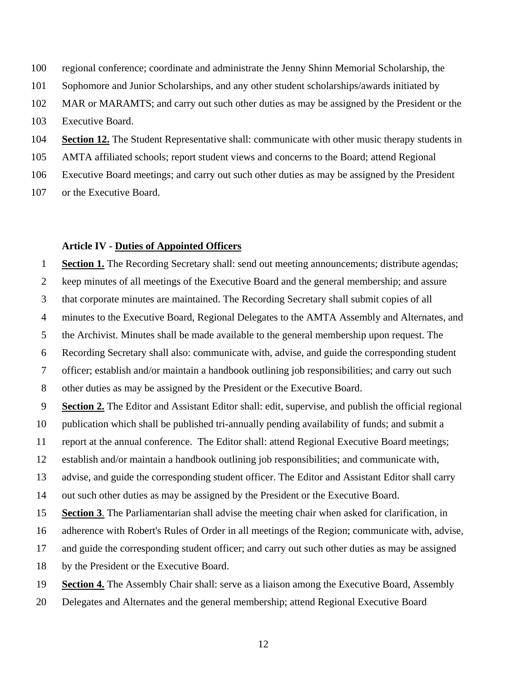100 regional conference; coordinate and administrate the Jenny Shinn Memorial Scholarship, the

101 Sophomore and Junior Scholarships, and any other student scholarships/awards initiated by

102 MAR or MARAMTS; and carry out such other duties as may be assigned by the President or the

103 Executive Board.

104 **Section 12.** The Student Representative shall: communicate with other music therapy students in

105 AMTA affiliated schools; report student views and concerns to the Board; attend Regional

106 Executive Board meetings; and carry out such other duties as may be assigned by the President

107 or the Executive Board.

## **Article IV - Duties of Appointed Officers**

1 **Section 1.** The Recording Secretary shall: send out meeting announcements; distribute agendas; 2 keep minutes of all meetings of the Executive Board and the general membership; and assure 3 that corporate minutes are maintained. The Recording Secretary shall submit copies of all 4 minutes to the Executive Board, Regional Delegates to the AMTA Assembly and Alternates, and 5 the Archivist. Minutes shall be made available to the general membership upon request. The 6 Recording Secretary shall also: communicate with, advise, and guide the corresponding student 7 officer; establish and/or maintain a handbook outlining job responsibilities; and carry out such 8 other duties as may be assigned by the President or the Executive Board. 9 **Section 2.** The Editor and Assistant Editor shall: edit, supervise, and publish the official regional 10 publication which shall be published tri-annually pending availability of funds; and submit a 11 report at the annual conference. The Editor shall: attend Regional Executive Board meetings; 12 establish and/or maintain a handbook outlining job responsibilities; and communicate with, 13 advise, and guide the corresponding student officer. The Editor and Assistant Editor shall carry 14 out such other duties as may be assigned by the President or the Executive Board. 15 **Section 3**. The Parliamentarian shall advise the meeting chair when asked for clarification, in 16 adherence with Robert's Rules of Order in all meetings of the Region; communicate with, advise, 17 and guide the corresponding student officer; and carry out such other duties as may be assigned

18 by the President or the Executive Board.

19 **Section 4.** The Assembly Chair shall: serve as a liaison among the Executive Board, Assembly

20 Delegates and Alternates and the general membership; attend Regional Executive Board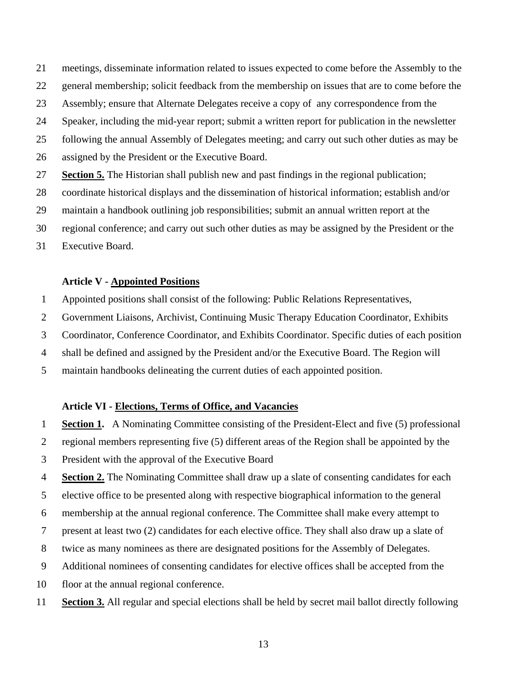21 meetings, disseminate information related to issues expected to come before the Assembly to the

- 22 general membership; solicit feedback from the membership on issues that are to come before the
- 23 Assembly; ensure that Alternate Delegates receive a copy of any correspondence from the
- 24 Speaker, including the mid-year report; submit a written report for publication in the newsletter
- 25 following the annual Assembly of Delegates meeting; and carry out such other duties as may be
- 26 assigned by the President or the Executive Board.
- 27 **Section 5.** The Historian shall publish new and past findings in the regional publication;
- 28 coordinate historical displays and the dissemination of historical information; establish and/or
- 29 maintain a handbook outlining job responsibilities; submit an annual written report at the
- 30 regional conference; and carry out such other duties as may be assigned by the President or the
- 31 Executive Board.

### **Article V - Appointed Positions**

- 1 Appointed positions shall consist of the following: Public Relations Representatives,
- 2 Government Liaisons, Archivist, Continuing Music Therapy Education Coordinator, Exhibits
- 3 Coordinator, Conference Coordinator, and Exhibits Coordinator. Specific duties of each position
- 4 shall be defined and assigned by the President and/or the Executive Board. The Region will
- 5 maintain handbooks delineating the current duties of each appointed position.

## **Article VI - Elections, Terms of Office, and Vacancies**

- 1 **Section 1.** A Nominating Committee consisting of the President-Elect and five (5) professional
- 2 regional members representing five (5) different areas of the Region shall be appointed by the
- 3 President with the approval of the Executive Board
- 4 **Section 2.** The Nominating Committee shall draw up a slate of consenting candidates for each
- 5 elective office to be presented along with respective biographical information to the general
- 6 membership at the annual regional conference. The Committee shall make every attempt to
- 7 present at least two (2) candidates for each elective office. They shall also draw up a slate of
- 8 twice as many nominees as there are designated positions for the Assembly of Delegates.
- 9 Additional nominees of consenting candidates for elective offices shall be accepted from the
- 10 floor at the annual regional conference.
- 11 **Section 3.** All regular and special elections shall be held by secret mail ballot directly following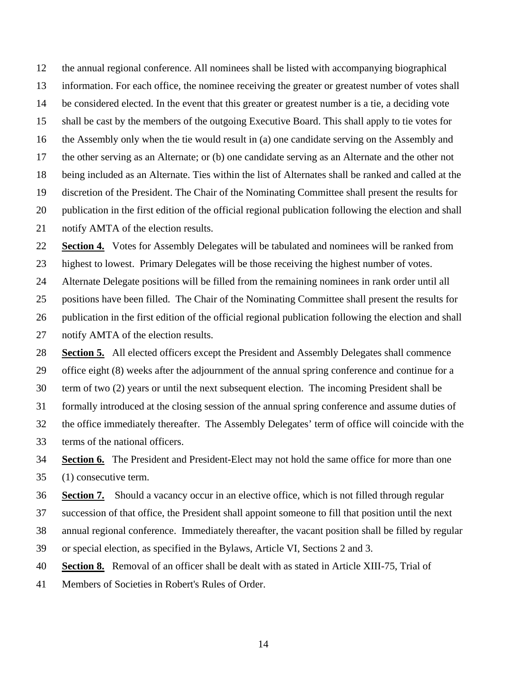12 the annual regional conference. All nominees shall be listed with accompanying biographical 13 information. For each office, the nominee receiving the greater or greatest number of votes shall 14 be considered elected. In the event that this greater or greatest number is a tie, a deciding vote 15 shall be cast by the members of the outgoing Executive Board. This shall apply to tie votes for 16 the Assembly only when the tie would result in (a) one candidate serving on the Assembly and 17 the other serving as an Alternate; or (b) one candidate serving as an Alternate and the other not 18 being included as an Alternate. Ties within the list of Alternates shall be ranked and called at the 19 discretion of the President. The Chair of the Nominating Committee shall present the results for 20 publication in the first edition of the official regional publication following the election and shall 21 notify AMTA of the election results.

22 **Section 4.** Votes for Assembly Delegates will be tabulated and nominees will be ranked from

23 highest to lowest. Primary Delegates will be those receiving the highest number of votes.

24 Alternate Delegate positions will be filled from the remaining nominees in rank order until all

25 positions have been filled. The Chair of the Nominating Committee shall present the results for

26 publication in the first edition of the official regional publication following the election and shall

27 notify AMTA of the election results.

28 **Section 5.** All elected officers except the President and Assembly Delegates shall commence

29 office eight (8) weeks after the adjournment of the annual spring conference and continue for a

30 term of two (2) years or until the next subsequent election. The incoming President shall be

31 formally introduced at the closing session of the annual spring conference and assume duties of

- 32 the office immediately thereafter. The Assembly Delegates' term of office will coincide with the
- 33 terms of the national officers.

34 **Section 6.** The President and President-Elect may not hold the same office for more than one

35 (1) consecutive term.

36 **Section 7.** Should a vacancy occur in an elective office, which is not filled through regular

37 succession of that office, the President shall appoint someone to fill that position until the next

38 annual regional conference. Immediately thereafter, the vacant position shall be filled by regular

39 or special election, as specified in the Bylaws, Article VI, Sections 2 and 3.

40 **Section 8.** Removal of an officer shall be dealt with as stated in Article XIII-75, Trial of

41 Members of Societies in Robert's Rules of Order.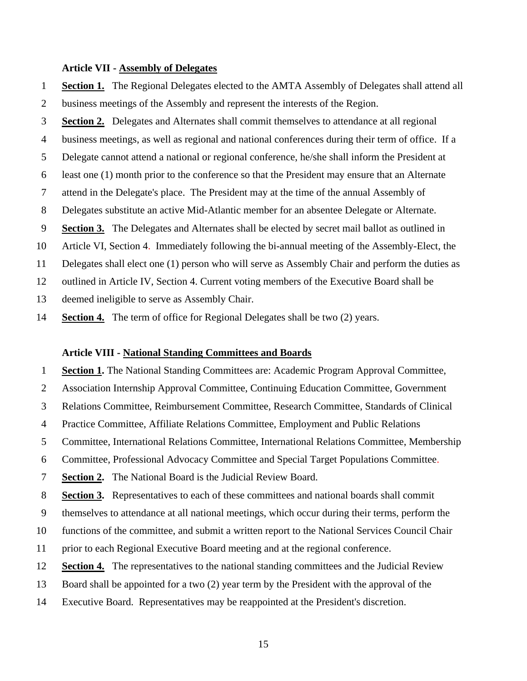## **Article VII - Assembly of Delegates**

1 **Section 1.** The Regional Delegates elected to the AMTA Assembly of Delegates shall attend all 2 business meetings of the Assembly and represent the interests of the Region.

3 **Section 2.** Delegates and Alternates shall commit themselves to attendance at all regional

4 business meetings, as well as regional and national conferences during their term of office. If a

5 Delegate cannot attend a national or regional conference, he/she shall inform the President at

6 least one (1) month prior to the conference so that the President may ensure that an Alternate

7 attend in the Delegate's place. The President may at the time of the annual Assembly of

8 Delegates substitute an active Mid-Atlantic member for an absentee Delegate or Alternate.

9 **Section 3.** The Delegates and Alternates shall be elected by secret mail ballot as outlined in

10 Article VI, Section 4. Immediately following the bi-annual meeting of the Assembly-Elect, the

11 Delegates shall elect one (1) person who will serve as Assembly Chair and perform the duties as

12 outlined in Article IV, Section 4. Current voting members of the Executive Board shall be

13 deemed ineligible to serve as Assembly Chair.

14 **Section 4.** The term of office for Regional Delegates shall be two (2) years.

#### **Article VIII - National Standing Committees and Boards**

1 **Section 1.** The National Standing Committees are: Academic Program Approval Committee,

2 Association Internship Approval Committee, Continuing Education Committee, Government

3 Relations Committee, Reimbursement Committee, Research Committee, Standards of Clinical

4 Practice Committee, Affiliate Relations Committee, Employment and Public Relations

5 Committee, International Relations Committee, International Relations Committee, Membership

6 Committee, Professional Advocacy Committee and Special Target Populations Committee.

7 **Section 2.** The National Board is the Judicial Review Board.

8 **Section 3.** Representatives to each of these committees and national boards shall commit

9 themselves to attendance at all national meetings, which occur during their terms, perform the

10 functions of the committee, and submit a written report to the National Services Council Chair

11 prior to each Regional Executive Board meeting and at the regional conference.

12 **Section 4.** The representatives to the national standing committees and the Judicial Review

13 Board shall be appointed for a two (2) year term by the President with the approval of the

14 Executive Board. Representatives may be reappointed at the President's discretion.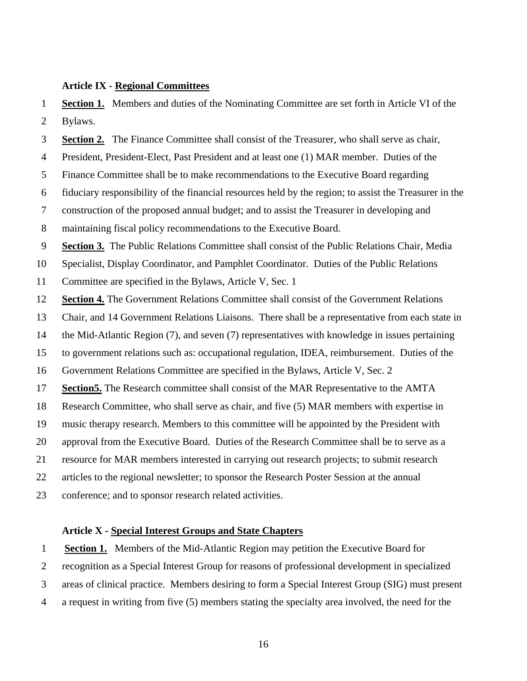#### **Article IX - Regional Committees**

1 **Section 1.** Members and duties of the Nominating Committee are set forth in Article VI of the 2 Bylaws.

3 **Section 2.** The Finance Committee shall consist of the Treasurer, who shall serve as chair,

4 President, President-Elect, Past President and at least one (1) MAR member. Duties of the

5 Finance Committee shall be to make recommendations to the Executive Board regarding

6 fiduciary responsibility of the financial resources held by the region; to assist the Treasurer in the

7 construction of the proposed annual budget; and to assist the Treasurer in developing and

8 maintaining fiscal policy recommendations to the Executive Board.

9 **Section 3.** The Public Relations Committee shall consist of the Public Relations Chair, Media

10 Specialist, Display Coordinator, and Pamphlet Coordinator. Duties of the Public Relations

11 Committee are specified in the Bylaws, Article V, Sec. 1

12 **Section 4.** The Government Relations Committee shall consist of the Government Relations

13 Chair, and 14 Government Relations Liaisons. There shall be a representative from each state in

14 the Mid-Atlantic Region (7), and seven (7) representatives with knowledge in issues pertaining

15 to government relations such as: occupational regulation, IDEA, reimbursement. Duties of the

16 Government Relations Committee are specified in the Bylaws, Article V, Sec. 2

17 **Section5.** The Research committee shall consist of the MAR Representative to the AMTA

18 Research Committee, who shall serve as chair, and five (5) MAR members with expertise in

19 music therapy research. Members to this committee will be appointed by the President with

20 approval from the Executive Board. Duties of the Research Committee shall be to serve as a

21 resource for MAR members interested in carrying out research projects; to submit research

22 articles to the regional newsletter; to sponsor the Research Poster Session at the annual

23 conference; and to sponsor research related activities.

## **Article X - Special Interest Groups and State Chapters**

1 **Section 1.** Members of the Mid-Atlantic Region may petition the Executive Board for

2 recognition as a Special Interest Group for reasons of professional development in specialized

3 areas of clinical practice. Members desiring to form a Special Interest Group (SIG) must present

4 a request in writing from five (5) members stating the specialty area involved, the need for the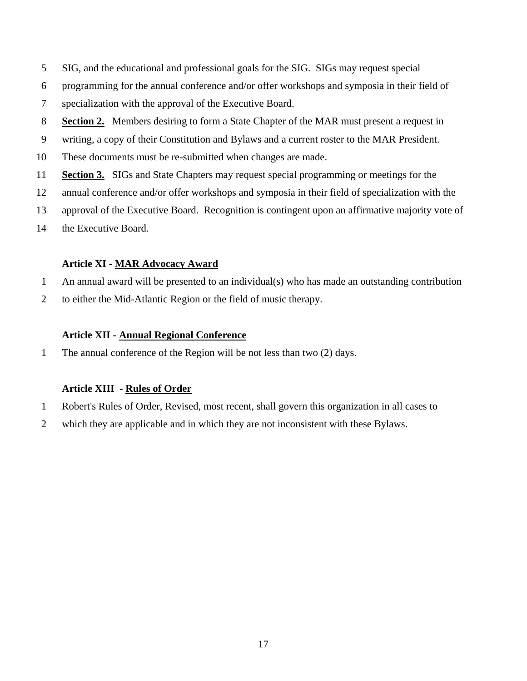- 5 SIG, and the educational and professional goals for the SIG. SIGs may request special
- 6 programming for the annual conference and/or offer workshops and symposia in their field of
- 7 specialization with the approval of the Executive Board.
- 8 **Section 2.** Members desiring to form a State Chapter of the MAR must present a request in
- 9 writing, a copy of their Constitution and Bylaws and a current roster to the MAR President.
- 10 These documents must be re-submitted when changes are made.
- 11 **Section 3.** SIGs and State Chapters may request special programming or meetings for the
- 12 annual conference and/or offer workshops and symposia in their field of specialization with the
- 13 approval of the Executive Board. Recognition is contingent upon an affirmative majority vote of
- 14 the Executive Board.

## **Article XI - MAR Advocacy Award**

- 1 An annual award will be presented to an individual(s) who has made an outstanding contribution
- 2 to either the Mid-Atlantic Region or the field of music therapy.

# **Article XII - Annual Regional Conference**

1 The annual conference of the Region will be not less than two (2) days.

## **Article XIII - Rules of Order**

- 1 Robert's Rules of Order, Revised, most recent, shall govern this organization in all cases to
- 2 which they are applicable and in which they are not inconsistent with these Bylaws.